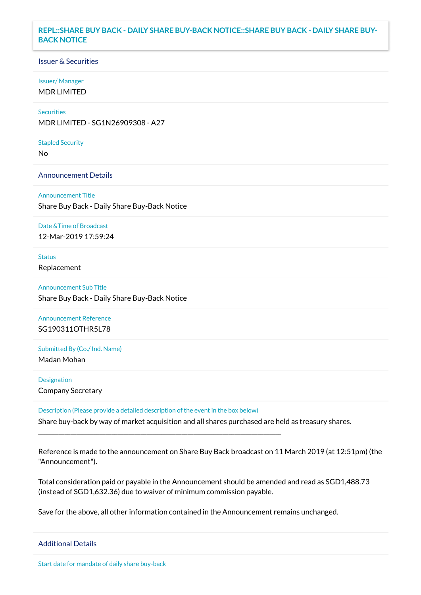# **REPL::SHARE BUY BACK - DAILY SHARE BUY-BACK NOTICE::SHARE BUY BACK - DAILY SHARE BUY-BACK NOTICE**

#### Issuer & Securities

#### Issuer/ Manager

MDR LIMITED

# **Securities**

MDR LIMITED - SG1N26909308 - A27

#### Stapled Security

No

## Announcement Details

Announcement Title Share Buy Back - Daily Share Buy-Back Notice

#### Date &Time of Broadcast

12-Mar-2019 17:59:24

## Status

Replacement

# Announcement Sub Title Share Buy Back - Daily Share Buy-Back Notice

Announcement Reference

SG190311OTHR5L78

# Submitted By (Co./ Ind. Name) Madan Mohan

# Designation Company Secretary

Description (Please provide a detailed description of the event in the box below) Share buy-back by way of market acquisition and all shares purchased are held as treasury shares.

\_\_\_\_\_\_\_\_\_\_\_\_\_\_\_\_\_\_\_\_\_\_\_\_\_\_\_\_\_\_\_\_\_\_\_\_\_\_\_\_\_\_\_\_\_\_\_\_\_\_\_\_\_\_\_\_\_\_\_\_\_\_\_\_\_\_\_\_\_\_\_\_\_\_\_\_\_\_\_\_\_\_\_

Reference is made to the announcement on Share Buy Back broadcast on 11 March 2019 (at 12:51pm) (the "Announcement").

Total consideration paid or payable in the Announcement should be amended and read as SGD1,488.73 (instead of SGD1,632.36) due to waiver of minimum commission payable.

Save for the above, all other information contained in the Announcement remains unchanged.

## Additional Details

Start date for mandate of daily share buy-back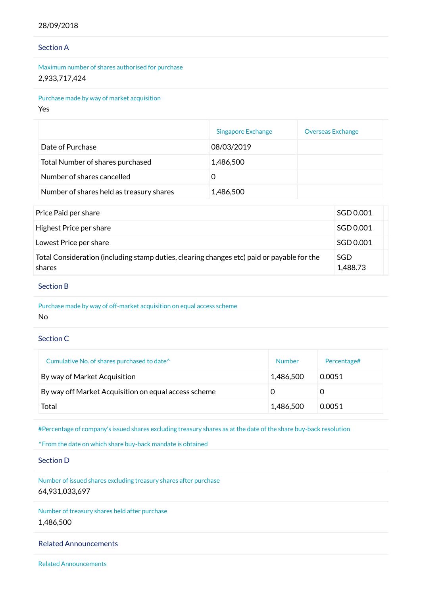## 28/09/2018

## Section A

Maximum number of shares authorised for purchase 2,933,717,424

Purchase made by way of market acquisition

Yes

|                                          | <b>Singapore Exchange</b> | <b>Overseas Exchange</b> |
|------------------------------------------|---------------------------|--------------------------|
| Date of Purchase                         | 08/03/2019                |                          |
| Total Number of shares purchased         | 1,486,500                 |                          |
| Number of shares cancelled               |                           |                          |
| Number of shares held as treasury shares | 1,486,500                 |                          |

| Price Paid per share                                                                                 | SGD 0.001       |
|------------------------------------------------------------------------------------------------------|-----------------|
| Highest Price per share                                                                              | SGD 0.001       |
| Lowest Price per share                                                                               | SGD 0.001       |
| Total Consideration (including stamp duties, clearing changes etc) paid or payable for the<br>shares | SGD<br>1,488.73 |

### Section B

Purchase made by way of off-market acquisition on equal access scheme No

# Section C

| Cumulative No. of shares purchased to date <sup>^</sup> | <b>Number</b> | Percentage# |
|---------------------------------------------------------|---------------|-------------|
| By way of Market Acquisition                            | 1,486,500     | 0.0051      |
| By way off Market Acquisition on equal access scheme    |               |             |
| Total                                                   | 1,486,500     | 0.0051      |

#Percentage of company's issued shares excluding treasury shares as at the date of the share buy-back resolution

^From the date on which share buy-back mandate is obtained

Section D

Number of issued shares excluding treasury shares after purchase 64,931,033,697

Number of treasury shares held after purchase 1,486,500

# Related Announcements

Related Announcements